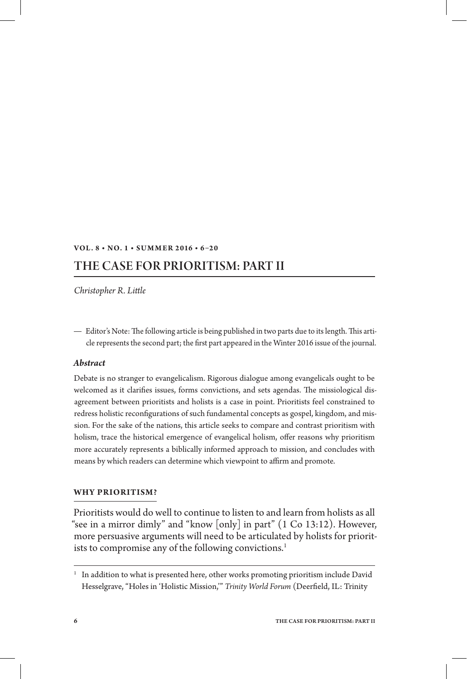## **Vol . 8 • No. 1 • S u m m er 2 016 • 6–2 0**

# THE CASE FOR PRIORITISM: Part II

*Christopher R. Little*

Editor's Note: The following article is being published in two parts due to its length. This article represents the second part; the first part appeared in the Winter 2016 issue of the journal.

# *Abstract*

Debate is no stranger to evangelicalism. Rigorous dialogue among evangelicals ought to be welcomed as it clarifies issues, forms convictions, and sets agendas. The missiological disagreement between prioritists and holists is a case in point. Prioritists feel constrained to redress holistic reconfigurations of such fundamental concepts as gospel, kingdom, and mission. For the sake of the nations, this article seeks to compare and contrast prioritism with holism, trace the historical emergence of evangelical holism, offer reasons why prioritism more accurately represents a biblically informed approach to mission, and concludes with means by which readers can determine which viewpoint to affirm and promote.

#### **Why Prioritism?**

Prioritists would do well to continue to listen to and learn from holists as all "see in a mirror dimly" and "know [only] in part" (1 Co 13:12). However, more persuasive arguments will need to be articulated by holists for prioritists to compromise any of the following convictions.<sup>1</sup>

 $1$  In addition to what is presented here, other works promoting prioritism include David Hesselgrave, "Holes in 'Holistic Mission,'" *Trinity World Forum* (Deerfield, IL: Trinity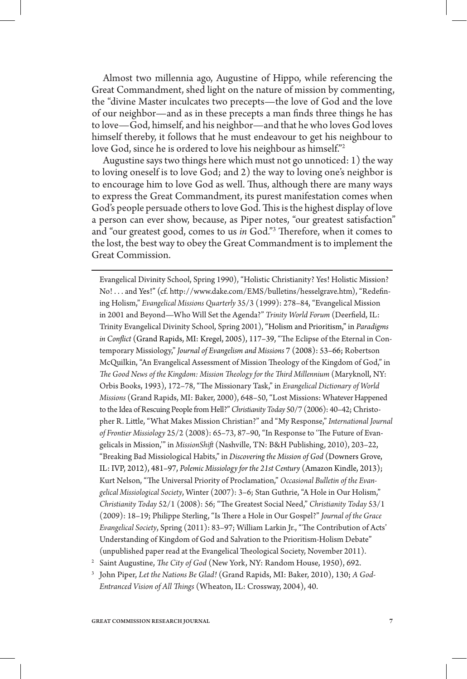Almost two millennia ago, Augustine of Hippo, while referencing the Great Commandment, shed light on the nature of mission by commenting, the "divine Master inculcates two precepts—the love of God and the love of our neighbor—and as in these precepts a man finds three things he has to love—God, himself, and his neighbor—and that he who loves God loves himself thereby, it follows that he must endeavour to get his neighbour to love God, since he is ordered to love his neighbour as himself."2

Augustine says two things here which must not go unnoticed: 1) the way to loving oneself is to love God; and 2) the way to loving one's neighbor is to encourage him to love God as well. Thus, although there are many ways to express the Great Commandment, its purest manifestation comes when God's people persuade others to love God. This is the highest display of love a person can ever show, because, as Piper notes, "our greatest satisfaction" and "our greatest good, comes to us *in* God."3 Therefore, when it comes to the lost, the best way to obey the Great Commandment is to implement the Great Commission.

Evangelical Divinity School, Spring 1990), "Holistic Christianity? Yes! Holistic Mission? No! . . . and Yes!" (cf. http://www.dake.com/EMS/bulletins/hesselgrave.htm), "Redefining Holism," *Evangelical Missions Quarterly* 35/3 (1999): 278–84, "Evangelical Mission in 2001 and Beyond—Who Will Set the Agenda?" *Trinity World Forum* (Deerfield, IL: Trinity Evangelical Divinity School, Spring 2001), "Holism and Prioritism," in *Paradigms in Conflict* (Grand Rapids, MI: Kregel, 2005), 117–39, "The Eclipse of the Eternal in Contemporary Missiology," *Journal of Evangelism and Missions* 7 (2008): 53–66; Robertson McQuilkin, "An Evangelical Assessment of Mission Theology of the Kingdom of God," in *The Good News of the Kingdom: Mission Theology for the Third Millennium* (Maryknoll, NY: Orbis Books, 1993), 172–78, "The Missionary Task," in *Evangelical Dictionary of World Missions* (Grand Rapids, MI: Baker, 2000), 648–50, "Lost Missions: Whatever Happened to the Idea of Rescuing People from Hell?" *Christianity Today* 50/7 (2006): 40–42; Christopher R. Little, "What Makes Mission Christian?" and "My Response," *International Journal of Frontier Missiology* 25/2 (2008): 65–73, 87–90, "In Response to 'The Future of Evangelicals in Mission,'" in *MissionShift* (Nashville, TN: B&H Publishing, 2010), 203–22, "Breaking Bad Missiological Habits," in *Discovering the Mission of God* (Downers Grove, IL: IVP, 2012), 481–97, *Polemic Missiology for the 21st Century* (Amazon Kindle, 2013); Kurt Nelson, "The Universal Priority of Proclamation," *Occasional Bulletin of the Evangelical Missiological Society*, Winter (2007): 3–6; Stan Guthrie, "A Hole in Our Holism," *Christianity Today* 52/1 (2008): 56; "The Greatest Social Need," *Christianity Today* 53/1 (2009): 18–19; Philippe Sterling, "Is There a Hole in Our Gospel?" *Journal of the Grace Evangelical Society*, Spring (2011): 83–97; William Larkin Jr., "The Contribution of Acts' Understanding of Kingdom of God and Salvation to the Prioritism-Holism Debate" (unpublished paper read at the Evangelical Theological Society, November 2011).

- <sup>2</sup> Saint Augustine, *The City of God* (New York, NY: Random House, 1950), 692.
- <sup>3</sup> John Piper, *Let the Nations Be Glad!* (Grand Rapids, MI: Baker, 2010), 130; *A God-Entranced Vision of All Things* (Wheaton, IL: Crossway, 2004), 40.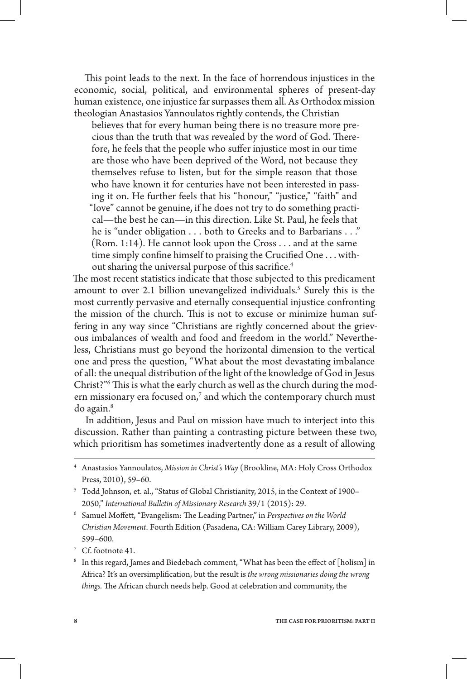This point leads to the next. In the face of horrendous injustices in the economic, social, political, and environmental spheres of present-day human existence, one injustice far surpasses them all. As Orthodox mission theologian Anastasios Yannoulatos rightly contends, the Christian

believes that for every human being there is no treasure more precious than the truth that was revealed by the word of God. Therefore, he feels that the people who suffer injustice most in our time are those who have been deprived of the Word, not because they themselves refuse to listen, but for the simple reason that those who have known it for centuries have not been interested in passing it on. He further feels that his "honour," "justice," "faith" and "love" cannot be genuine, if he does not try to do something practical—the best he can—in this direction. Like St. Paul, he feels that he is "under obligation . . . both to Greeks and to Barbarians . . ." (Rom. 1:14). He cannot look upon the Cross . . . and at the same time simply confine himself to praising the Crucified One . . . without sharing the universal purpose of this sacrifice.<sup>4</sup>

The most recent statistics indicate that those subjected to this predicament amount to over 2.1 billion unevangelized individuals.<sup>5</sup> Surely this is the most currently pervasive and eternally consequential injustice confronting the mission of the church. This is not to excuse or minimize human suffering in any way since "Christians are rightly concerned about the grievous imbalances of wealth and food and freedom in the world." Nevertheless, Christians must go beyond the horizontal dimension to the vertical one and press the question, "What about the most devastating imbalance of all: the unequal distribution of the light of the knowledge of God in Jesus Christ?"6 This is what the early church as well as the church during the modern missionary era focused on, $7$  and which the contemporary church must do again.8

In addition, Jesus and Paul on mission have much to interject into this discussion. Rather than painting a contrasting picture between these two, which prioritism has sometimes inadvertently done as a result of allowing

<sup>4</sup> Anastasios Yannoulatos, *Mission in Christ's Way* (Brookline, MA: Holy Cross Orthodox Press, 2010), 59–60.

- <sup>6</sup> Samuel Moffett, "Evangelism: The Leading Partner," in *Perspectives on the World Christian Movement*. Fourth Edition (Pasadena, CA: William Carey Library, 2009), 599–600.
- <sup>7</sup> Cf. footnote 41.
- <sup>8</sup> In this regard, James and Biedebach comment, "What has been the effect of [holism] in Africa? It's an oversimplification, but the result is *the wrong missionaries doing the wrong things.* The African church needs help. Good at celebration and community, the

<sup>5</sup> Todd Johnson, et. al., "Status of Global Christianity, 2015, in the Context of 1900– 2050," *International Bulletin of Missionary Research* 39/1 (2015): 29.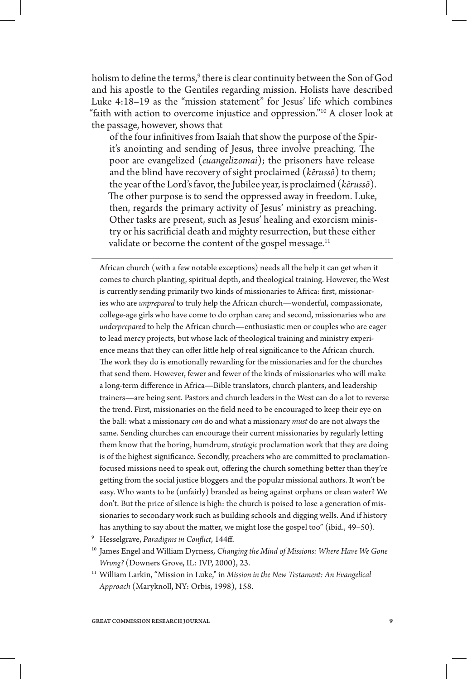holism to define the terms,<sup>9</sup> there is clear continuity between the Son of God and his apostle to the Gentiles regarding mission. Holists have described Luke 4:18–19 as the "mission statement" for Jesus' life which combines "faith with action to overcome injustice and oppression."10 A closer look at the passage, however, shows that

of the four infinitives from Isaiah that show the purpose of the Spirit's anointing and sending of Jesus, three involve preaching. The poor are evangelized (*euangelizomai*); the prisoners have release and the blind have recovery of sight proclaimed (*kērussō*) to them; the year of the Lord's favor, the Jubilee year, is proclaimed (*kērussō*). The other purpose is to send the oppressed away in freedom. Luke, then, regards the primary activity of Jesus' ministry as preaching. Other tasks are present, such as Jesus' healing and exorcism ministry or his sacrificial death and mighty resurrection, but these either validate or become the content of the gospel message.<sup>11</sup>

African church (with a few notable exceptions) needs all the help it can get when it comes to church planting, spiritual depth, and theological training. However, the West is currently sending primarily two kinds of missionaries to Africa: first, missionaries who are *unprepared* to truly help the African church—wonderful, compassionate, college-age girls who have come to do orphan care; and second, missionaries who are *underprepared* to help the African church—enthusiastic men or couples who are eager to lead mercy projects, but whose lack of theological training and ministry experience means that they can offer little help of real significance to the African church. The work they do is emotionally rewarding for the missionaries and for the churches that send them. However, fewer and fewer of the kinds of missionaries who will make a long-term difference in Africa—Bible translators, church planters, and leadership trainers—are being sent. Pastors and church leaders in the West can do a lot to reverse the trend. First, missionaries on the field need to be encouraged to keep their eye on the ball: what a missionary *can* do and what a missionary *must* do are not always the same. Sending churches can encourage their current missionaries by regularly letting them know that the boring, humdrum, *strategic* proclamation work that they are doing is of the highest significance. Secondly, preachers who are committed to proclamationfocused missions need to speak out, offering the church something better than they're getting from the social justice bloggers and the popular missional authors. It won't be easy. Who wants to be (unfairly) branded as being against orphans or clean water? We don't. But the price of silence is high: the church is poised to lose a generation of missionaries to secondary work such as building schools and digging wells. And if history has anything to say about the matter, we might lose the gospel too" (ibid., 49–50).

- <sup>9</sup> Hesselgrave, *Paradigms in Conflict*, 144ff.
- <sup>10</sup> James Engel and William Dyrness, *Changing the Mind of Missions: Where Have We Gone Wrong?* (Downers Grove, IL: IVP, 2000), 23.
- <sup>11</sup> William Larkin, "Mission in Luke," in *Mission in the New Testament: An Evangelical Approach* (Maryknoll, NY: Orbis, 1998), 158.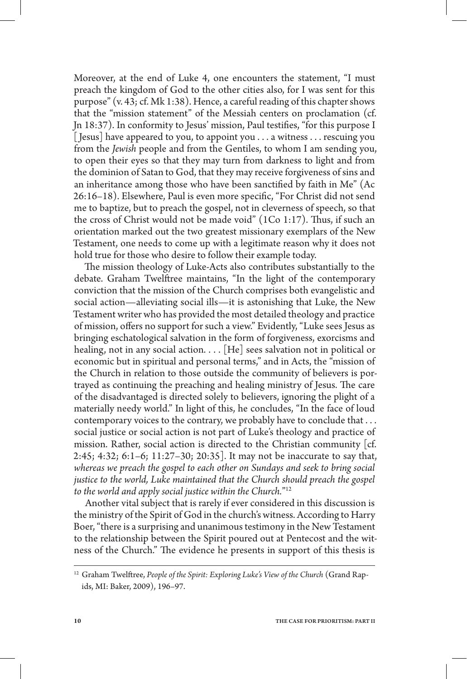Moreover, at the end of Luke 4, one encounters the statement, "I must preach the kingdom of God to the other cities also, for I was sent for this purpose" (v. 43; cf. Mk 1:38). Hence, a careful reading of this chapter shows that the "mission statement" of the Messiah centers on proclamation (cf. Jn 18:37). In conformity to Jesus' mission, Paul testifies, "for this purpose I [ Jesus] have appeared to you, to appoint you . . . a witness . . . rescuing you from the *Jewish* people and from the Gentiles, to whom I am sending you, to open their eyes so that they may turn from darkness to light and from the dominion of Satan to God, that they may receive forgiveness of sins and an inheritance among those who have been sanctified by faith in Me" (Ac 26:16–18). Elsewhere, Paul is even more specific, "For Christ did not send me to baptize, but to preach the gospel, not in cleverness of speech, so that the cross of Christ would not be made void" (1Co 1:17). Thus, if such an orientation marked out the two greatest missionary exemplars of the New Testament, one needs to come up with a legitimate reason why it does not hold true for those who desire to follow their example today.

The mission theology of Luke-Acts also contributes substantially to the debate. Graham Twelftree maintains, "In the light of the contemporary conviction that the mission of the Church comprises both evangelistic and social action—alleviating social ills—it is astonishing that Luke, the New Testament writer who has provided the most detailed theology and practice of mission, offers no support for such a view." Evidently, "Luke sees Jesus as bringing eschatological salvation in the form of forgiveness, exorcisms and healing, not in any social action. . . . [He] sees salvation not in political or economic but in spiritual and personal terms," and in Acts, the "mission of the Church in relation to those outside the community of believers is portrayed as continuing the preaching and healing ministry of Jesus. The care of the disadvantaged is directed solely to believers, ignoring the plight of a materially needy world." In light of this, he concludes, "In the face of loud contemporary voices to the contrary, we probably have to conclude that . . . social justice or social action is not part of Luke's theology and practice of mission. Rather, social action is directed to the Christian community [cf. 2:45; 4:32; 6:1–6; 11:27–30; 20:35]. It may not be inaccurate to say that, *whereas we preach the gospel to each other on Sundays and seek to bring social*  justice to the world, Luke maintained that the Church should preach the gospel *to the world and apply social justice within the Church.*"12

Another vital subject that is rarely if ever considered in this discussion is the ministry of the Spirit of God in the church's witness. According to Harry Boer, "there is a surprising and unanimous testimony in the New Testament to the relationship between the Spirit poured out at Pentecost and the witness of the Church." The evidence he presents in support of this thesis is

<sup>12</sup> Graham Twelftree, *People of the Spirit: Exploring Luke's View of the Church* (Grand Rapids, MI: Baker, 2009), 196–97.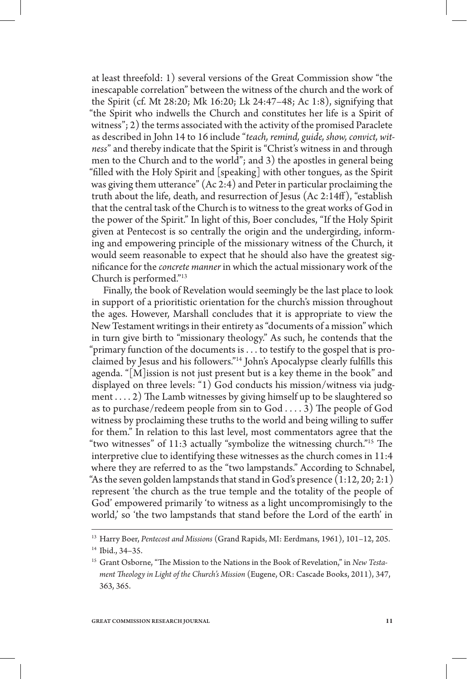at least threefold: 1) several versions of the Great Commission show "the inescapable correlation" between the witness of the church and the work of the Spirit (cf. Mt 28:20; Mk 16:20; Lk 24:47–48; Ac 1:8), signifying that "the Spirit who indwells the Church and constitutes her life is a Spirit of witness"; 2) the terms associated with the activity of the promised Paraclete as described in John 14 to 16 include "*teach, remind, guide, show, convict, witness*" and thereby indicate that the Spirit is "Christ's witness in and through men to the Church and to the world"; and 3) the apostles in general being "filled with the Holy Spirit and [speaking] with other tongues, as the Spirit was giving them utterance" (Ac 2:4) and Peter in particular proclaiming the truth about the life, death, and resurrection of Jesus (Ac 2:14ff), "establish that the central task of the Church is to witness to the great works of God in the power of the Spirit." In light of this, Boer concludes, "If the Holy Spirit given at Pentecost is so centrally the origin and the undergirding, informing and empowering principle of the missionary witness of the Church, it would seem reasonable to expect that he should also have the greatest significance for the *concrete manner* in which the actual missionary work of the Church is performed."13

Finally, the book of Revelation would seemingly be the last place to look in support of a prioritistic orientation for the church's mission throughout the ages. However, Marshall concludes that it is appropriate to view the New Testament writings in their entirety as "documents of a mission" which in turn give birth to "missionary theology." As such, he contends that the "primary function of the documents is . . . to testify to the gospel that is proclaimed by Jesus and his followers."14 John's Apocalypse clearly fulfills this agenda. "[M]ission is not just present but is a key theme in the book" and displayed on three levels: "1) God conducts his mission/witness via judgment . . . . 2) The Lamb witnesses by giving himself up to be slaughtered so as to purchase/redeem people from sin to God . . . . 3) The people of God witness by proclaiming these truths to the world and being willing to suffer for them." In relation to this last level, most commentators agree that the "two witnesses" of 11:3 actually "symbolize the witnessing church."15 The interpretive clue to identifying these witnesses as the church comes in 11:4 where they are referred to as the "two lampstands." According to Schnabel, "As the seven golden lampstands that stand in God's presence  $(1:12, 20; 2:1)$ represent 'the church as the true temple and the totality of the people of God' empowered primarily 'to witness as a light uncompromisingly to the world,' so 'the two lampstands that stand before the Lord of the earth' in

<sup>13</sup> Harry Boer, *Pentecost and Missions* (Grand Rapids, MI: Eerdmans, 1961), 101–12, 205. <sup>14</sup> Ibid., 34–35.

<sup>15</sup> Grant Osborne, "The Mission to the Nations in the Book of Revelation," in *New Testament Theology in Light of the Church's Mission* (Eugene, OR: Cascade Books, 2011), 347, 363, 365.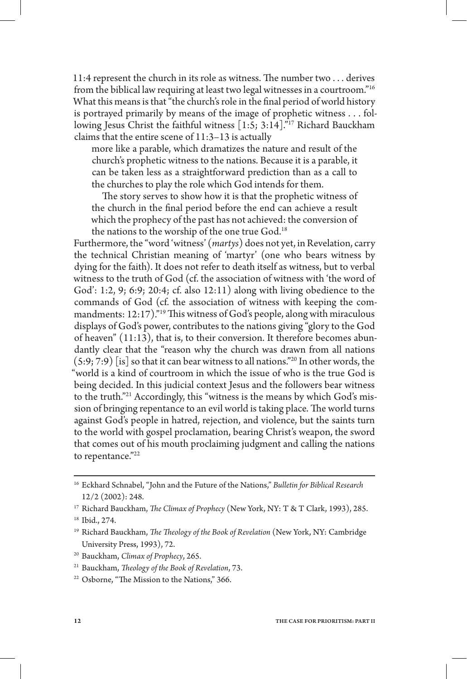11:4 represent the church in its role as witness. The number two . . . derives from the biblical law requiring at least two legal witnesses in a courtroom."16 What this means is that "the church's role in the final period of world history is portrayed primarily by means of the image of prophetic witness . . . following Jesus Christ the faithful witness [1:5; 3:14]."17 Richard Bauckham claims that the entire scene of 11:3–13 is actually

more like a parable, which dramatizes the nature and result of the church's prophetic witness to the nations. Because it is a parable, it can be taken less as a straightforward prediction than as a call to the churches to play the role which God intends for them.

The story serves to show how it is that the prophetic witness of the church in the final period before the end can achieve a result which the prophecy of the past has not achieved: the conversion of the nations to the worship of the one true God.<sup>18</sup>

Furthermore, the "word 'witness' (*martys*) does not yet, in Revelation, carry the technical Christian meaning of 'martyr' (one who bears witness by dying for the faith). It does not refer to death itself as witness, but to verbal witness to the truth of God (cf. the association of witness with 'the word of God': 1:2, 9; 6:9; 20:4; cf. also 12:11) along with living obedience to the commands of God (cf. the association of witness with keeping the commandments: 12:17)."19 This witness of God's people, along with miraculous displays of God's power, contributes to the nations giving "glory to the God of heaven" (11:13), that is, to their conversion. It therefore becomes abundantly clear that the "reason why the church was drawn from all nations  $(5:9; 7:9)$  [is] so that it can bear witness to all nations."<sup>20</sup> In other words, the "world is a kind of courtroom in which the issue of who is the true God is being decided. In this judicial context Jesus and the followers bear witness to the truth."21 Accordingly, this "witness is the means by which God's mission of bringing repentance to an evil world is taking place. The world turns against God's people in hatred, rejection, and violence, but the saints turn to the world with gospel proclamation, bearing Christ's weapon, the sword that comes out of his mouth proclaiming judgment and calling the nations to repentance."22

<sup>22</sup> Osborne, "The Mission to the Nations," 366.

<sup>16</sup> Eckhard Schnabel, "John and the Future of the Nations," *Bulletin for Biblical Research* 12/2 (2002): 248.

<sup>17</sup> Richard Bauckham, *The Climax of Prophecy* (New York, NY: T & T Clark, 1993), 285.

<sup>18</sup> Ibid., 274.

<sup>19</sup> Richard Bauckham, *The Theology of the Book of Revelation* (New York, NY: Cambridge University Press, 1993), 72.

<sup>20</sup> Bauckham, *Climax of Prophecy*, 265.

<sup>21</sup> Bauckham, *Theology of the Book of Revelation*, 73.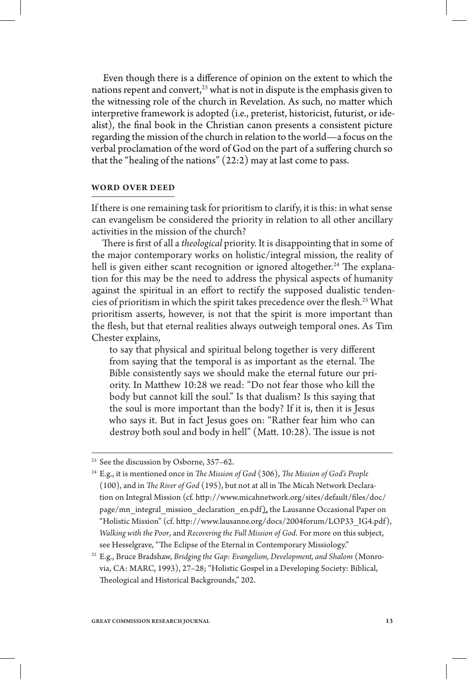Even though there is a difference of opinion on the extent to which the nations repent and convert, $23$  what is not in dispute is the emphasis given to the witnessing role of the church in Revelation. As such, no matter which interpretive framework is adopted (i.e., preterist, historicist, futurist, or idealist), the final book in the Christian canon presents a consistent picture regarding the mission of the church in relation to the world—a focus on the verbal proclamation of the word of God on the part of a suffering church so that the "healing of the nations" (22:2) may at last come to pass.

## **Word Over Deed**

If there is one remaining task for prioritism to clarify, it is this: in what sense can evangelism be considered the priority in relation to all other ancillary activities in the mission of the church?

There is first of all a *theological* priority. It is disappointing that in some of the major contemporary works on holistic/integral mission, the reality of hell is given either scant recognition or ignored altogether.<sup>24</sup> The explanation for this may be the need to address the physical aspects of humanity against the spiritual in an effort to rectify the supposed dualistic tendencies of prioritism in which the spirit takes precedence over the flesh.<sup>25</sup> What prioritism asserts, however, is not that the spirit is more important than the flesh, but that eternal realities always outweigh temporal ones. As Tim Chester explains,

to say that physical and spiritual belong together is very different from saying that the temporal is as important as the eternal. The Bible consistently says we should make the eternal future our priority. In Matthew 10:28 we read: "Do not fear those who kill the body but cannot kill the soul." Is that dualism? Is this saying that the soul is more important than the body? If it is, then it is Jesus who says it. But in fact Jesus goes on: "Rather fear him who can destroy both soul and body in hell" (Matt. 10:28). The issue is not

<sup>&</sup>lt;sup>23</sup> See the discussion by Osborne, 357-62.

<sup>24</sup> E.g., it is mentioned once in *The Mission of God* (306), *The Mission of God's People* (100), and in *The River of God* (195), but not at all in The Micah Network Declaration on Integral Mission (cf. http://www.micahnetwork.org/sites/default/files/doc/ page/mn\_integral\_mission\_declaration\_en.pdf), the Lausanne Occasional Paper on "Holistic Mission" (cf. http://www.lausanne.org/docs/2004forum/LOP33\_IG4.pdf), *Walking with the Poor*, and *Recovering the Full Mission of God*. For more on this subject, see Hesselgrave, "The Eclipse of the Eternal in Contemporary Missiology."

<sup>25</sup> E.g., Bruce Bradshaw, *Bridging the Gap: Evangelism, Development, and Shalom* (Monrovia, CA: MARC, 1993), 27–28; "Holistic Gospel in a Developing Society: Biblical, Theological and Historical Backgrounds," 202.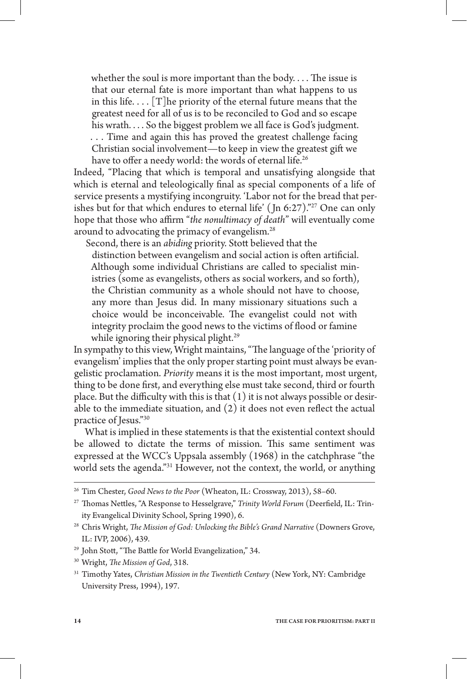whether the soul is more important than the body. . . . The issue is that our eternal fate is more important than what happens to us in this life.  $\ldots$  [T] he priority of the eternal future means that the greatest need for all of us is to be reconciled to God and so escape his wrath. . . . So the biggest problem we all face is God's judgment. . . . Time and again this has proved the greatest challenge facing Christian social involvement—to keep in view the greatest gift we have to offer a needy world: the words of eternal life.<sup>26</sup>

Indeed, "Placing that which is temporal and unsatisfying alongside that which is eternal and teleologically final as special components of a life of service presents a mystifying incongruity. 'Labor not for the bread that perishes but for that which endures to eternal life' (Jn 6:27)."<sup>27</sup> One can only hope that those who affirm "*the nonultimacy of death*" will eventually come around to advocating the primacy of evangelism.28

Second, there is an *abiding* priority. Stott believed that the

distinction between evangelism and social action is often artificial. Although some individual Christians are called to specialist ministries (some as evangelists, others as social workers, and so forth), the Christian community as a whole should not have to choose, any more than Jesus did. In many missionary situations such a choice would be inconceivable. The evangelist could not with integrity proclaim the good news to the victims of flood or famine while ignoring their physical plight.<sup>29</sup>

In sympathy to this view, Wright maintains, "The language of the 'priority of evangelism' implies that the only proper starting point must always be evangelistic proclamation. *Priority* means it is the most important, most urgent, thing to be done first, and everything else must take second, third or fourth place. But the difficulty with this is that  $(1)$  it is not always possible or desirable to the immediate situation, and (2) it does not even reflect the actual practice of Jesus."30

What is implied in these statements is that the existential context should be allowed to dictate the terms of mission. This same sentiment was expressed at the WCC's Uppsala assembly (1968) in the catchphrase "the world sets the agenda."<sup>31</sup> However, not the context, the world, or anything

<sup>26</sup> Tim Chester, *Good News to the Poor* (Wheaton, IL: Crossway, 2013), 58–60.

<sup>27</sup> Thomas Nettles, "A Response to Hesselgrave," *Trinity World Forum* (Deerfield, IL: Trinity Evangelical Divinity School, Spring 1990), 6.

<sup>&</sup>lt;sup>28</sup> Chris Wright, *The Mission of God: Unlocking the Bible's Grand Narrative* (Downers Grove, IL: IVP, 2006), 439.

<sup>&</sup>lt;sup>29</sup> John Stott, "The Battle for World Evangelization," 34.

<sup>30</sup> Wright, *The Mission of God*, 318.

<sup>31</sup> Timothy Yates, *Christian Mission in the Twentieth Century* (New York, NY: Cambridge University Press, 1994), 197.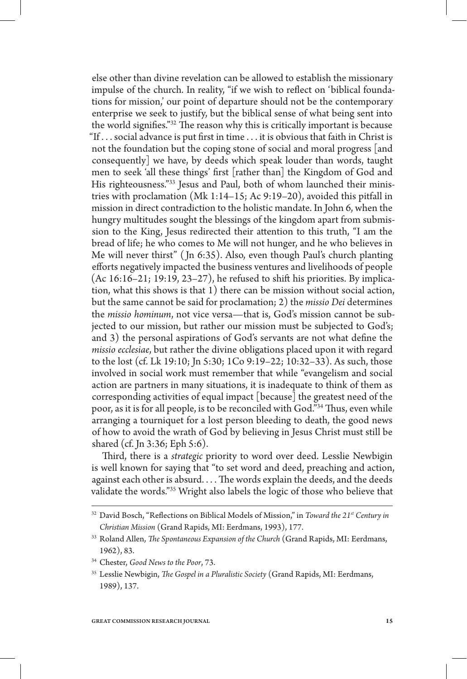else other than divine revelation can be allowed to establish the missionary impulse of the church. In reality, "if we wish to reflect on 'biblical foundations for mission,' our point of departure should not be the contemporary enterprise we seek to justify, but the biblical sense of what being sent into the world signifies."32 The reason why this is critically important is because "If . . . social advance is put first in time . . . it is obvious that faith in Christ is not the foundation but the coping stone of social and moral progress [and consequently] we have, by deeds which speak louder than words, taught men to seek 'all these things' first [rather than] the Kingdom of God and His righteousness."<sup>33</sup> Jesus and Paul, both of whom launched their ministries with proclamation (Mk 1:14–15; Ac 9:19–20), avoided this pitfall in mission in direct contradiction to the holistic mandate. In John 6, when the hungry multitudes sought the blessings of the kingdom apart from submission to the King, Jesus redirected their attention to this truth, "I am the bread of life; he who comes to Me will not hunger, and he who believes in Me will never thirst" ( Jn 6:35). Also, even though Paul's church planting efforts negatively impacted the business ventures and livelihoods of people  $(Ac 16:16-21; 19:19, 23-27)$ , he refused to shift his priorities. By implication, what this shows is that 1) there can be mission without social action, but the same cannot be said for proclamation; 2) the *missio Dei* determines the *missio hominum*, not vice versa—that is, God's mission cannot be subjected to our mission, but rather our mission must be subjected to God's; and 3) the personal aspirations of God's servants are not what define the *missio ecclesiae*, but rather the divine obligations placed upon it with regard to the lost (cf. Lk 19:10; Jn 5:30; 1Co 9:19–22; 10:32–33). As such, those involved in social work must remember that while "evangelism and social action are partners in many situations, it is inadequate to think of them as corresponding activities of equal impact [because] the greatest need of the poor, as it is for all people, is to be reconciled with God."34 Thus, even while arranging a tourniquet for a lost person bleeding to death, the good news of how to avoid the wrath of God by believing in Jesus Christ must still be shared (cf. Jn 3:36; Eph 5:6).

Third, there is a *strategic* priority to word over deed. Lesslie Newbigin is well known for saying that "to set word and deed, preaching and action, against each other is absurd. . . . The words explain the deeds, and the deeds validate the words."35 Wright also labels the logic of those who believe that

<sup>&</sup>lt;sup>32</sup> David Bosch, "Reflections on Biblical Models of Mission," in *Toward the 21<sup>st</sup> Century in Christian Mission* (Grand Rapids, MI: Eerdmans, 1993), 177.

<sup>33</sup> Roland Allen, *The Spontaneous Expansion of the Church* (Grand Rapids, MI: Eerdmans, 1962), 83.

<sup>34</sup> Chester, *Good News to the Poor*, 73.

<sup>35</sup> Lesslie Newbigin, *The Gospel in a Pluralistic Society* (Grand Rapids, MI: Eerdmans, 1989), 137.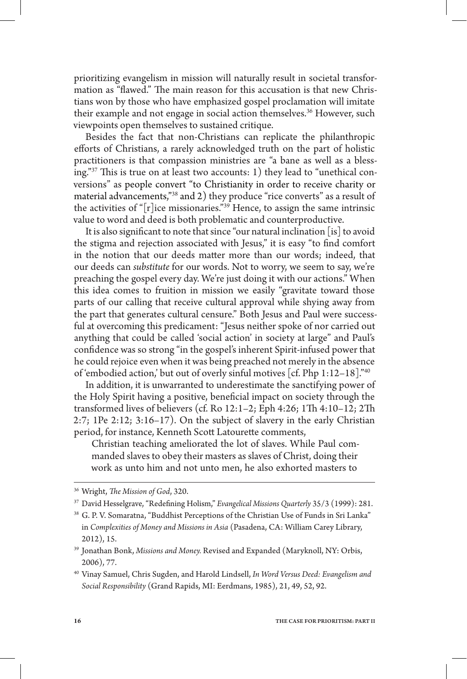prioritizing evangelism in mission will naturally result in societal transformation as "flawed." The main reason for this accusation is that new Christians won by those who have emphasized gospel proclamation will imitate their example and not engage in social action themselves.<sup>36</sup> However, such viewpoints open themselves to sustained critique.

Besides the fact that non-Christians can replicate the philanthropic efforts of Christians, a rarely acknowledged truth on the part of holistic practitioners is that compassion ministries are "a bane as well as a blessing."37 This is true on at least two accounts: 1) they lead to "unethical conversions" as people convert "to Christianity in order to receive charity or material advancements,"38 and 2) they produce "rice converts" as a result of the activities of "[r]ice missionaries."<sup>39</sup> Hence, to assign the same intrinsic value to word and deed is both problematic and counterproductive.

It is also significant to note that since "our natural inclination [is] to avoid the stigma and rejection associated with Jesus," it is easy "to find comfort in the notion that our deeds matter more than our words; indeed, that our deeds can *substitute* for our words. Not to worry, we seem to say, we're preaching the gospel every day. We're just doing it with our actions." When this idea comes to fruition in mission we easily "gravitate toward those parts of our calling that receive cultural approval while shying away from the part that generates cultural censure." Both Jesus and Paul were successful at overcoming this predicament: "Jesus neither spoke of nor carried out anything that could be called 'social action' in society at large" and Paul's confidence was so strong "in the gospel's inherent Spirit-infused power that he could rejoice even when it was being preached not merely in the absence of 'embodied action,' but out of overly sinful motives [cf. Php 1:12–18]."40

In addition, it is unwarranted to underestimate the sanctifying power of the Holy Spirit having a positive, beneficial impact on society through the transformed lives of believers (cf. Ro 12:1–2; Eph 4:26; 1Th 4:10–12; 2Th 2:7; 1Pe 2:12; 3:16–17). On the subject of slavery in the early Christian period, for instance, Kenneth Scott Latourette comments,

Christian teaching ameliorated the lot of slaves. While Paul commanded slaves to obey their masters as slaves of Christ, doing their work as unto him and not unto men, he also exhorted masters to

<sup>36</sup> Wright, *The Mission of God*, 320.

<sup>37</sup> David Hesselgrave, "Redefining Holism," *Evangelical Missions Quarterly* 35/3 (1999): 281.

<sup>38</sup> G. P. V. Somaratna, "Buddhist Perceptions of the Christian Use of Funds in Sri Lanka" in *Complexities of Money and Missions in Asia* (Pasadena, CA: William Carey Library, 2012), 15.

<sup>39</sup> Jonathan Bonk, *Missions and Money.* Revised and Expanded (Maryknoll, NY: Orbis, 2006), 77.

<sup>40</sup> Vinay Samuel, Chris Sugden, and Harold Lindsell, *In Word Versus Deed: Evangelism and Social Responsibility* (Grand Rapids, MI: Eerdmans, 1985), 21, 49, 52, 92.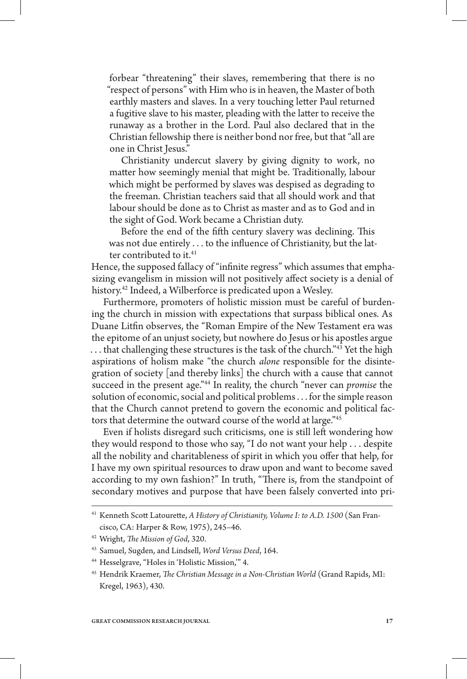forbear "threatening" their slaves, remembering that there is no "respect of persons" with Him who is in heaven, the Master of both earthly masters and slaves. In a very touching letter Paul returned a fugitive slave to his master, pleading with the latter to receive the runaway as a brother in the Lord. Paul also declared that in the Christian fellowship there is neither bond nor free, but that "all are one in Christ Jesus."

Christianity undercut slavery by giving dignity to work, no matter how seemingly menial that might be. Traditionally, labour which might be performed by slaves was despised as degrading to the freeman. Christian teachers said that all should work and that labour should be done as to Christ as master and as to God and in the sight of God. Work became a Christian duty.

Before the end of the fifth century slavery was declining. This was not due entirely . . . to the influence of Christianity, but the latter contributed to it.<sup>41</sup>

Hence, the supposed fallacy of "infinite regress" which assumes that emphasizing evangelism in mission will not positively affect society is a denial of history.<sup>42</sup> Indeed, a Wilberforce is predicated upon a Wesley.

Furthermore, promoters of holistic mission must be careful of burdening the church in mission with expectations that surpass biblical ones. As Duane Litfin observes, the "Roman Empire of the New Testament era was the epitome of an unjust society, but nowhere do Jesus or his apostles argue ... that challenging these structures is the task of the church.<sup>"43</sup> Yet the high aspirations of holism make "the church *alone* responsible for the disintegration of society [and thereby links] the church with a cause that cannot succeed in the present age."44 In reality, the church "never can *promise* the solution of economic, social and political problems . . . for the simple reason that the Church cannot pretend to govern the economic and political factors that determine the outward course of the world at large."<sup>45</sup>

Even if holists disregard such criticisms, one is still left wondering how they would respond to those who say, "I do not want your help . . . despite all the nobility and charitableness of spirit in which you offer that help, for I have my own spiritual resources to draw upon and want to become saved according to my own fashion?" In truth, "There is, from the standpoint of secondary motives and purpose that have been falsely converted into pri-

<sup>41</sup> Kenneth Scott Latourette, *A History of Christianity, Volume I: to A.D. 1500* (San Francisco, CA: Harper & Row, 1975), 245–46.

<sup>42</sup> Wright, *The Mission of God*, 320.

<sup>43</sup> Samuel, Sugden, and Lindsell, *Word Versus Deed*, 164.

<sup>44</sup> Hesselgrave, "Holes in 'Holistic Mission,'" 4.

<sup>45</sup> Hendrik Kraemer, *The Christian Message in a Non-Christian World* (Grand Rapids, MI: Kregel, 1963), 430.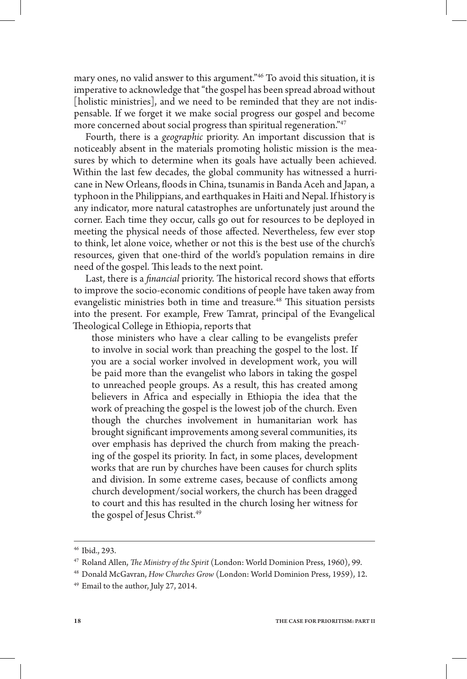mary ones, no valid answer to this argument."46 To avoid this situation, it is imperative to acknowledge that "the gospel has been spread abroad without [holistic ministries], and we need to be reminded that they are not indispensable. If we forget it we make social progress our gospel and become more concerned about social progress than spiritual regeneration."<sup>47</sup>

Fourth, there is a *geographic* priority. An important discussion that is noticeably absent in the materials promoting holistic mission is the measures by which to determine when its goals have actually been achieved. Within the last few decades, the global community has witnessed a hurricane in New Orleans, floods in China, tsunamis in Banda Aceh and Japan, a typhoon in the Philippians, and earthquakes in Haiti and Nepal. If history is any indicator, more natural catastrophes are unfortunately just around the corner. Each time they occur, calls go out for resources to be deployed in meeting the physical needs of those affected. Nevertheless, few ever stop to think, let alone voice, whether or not this is the best use of the church's resources, given that one-third of the world's population remains in dire need of the gospel. This leads to the next point.

Last, there is a *financial* priority. The historical record shows that efforts to improve the socio-economic conditions of people have taken away from evangelistic ministries both in time and treasure.<sup>48</sup> This situation persists into the present. For example, Frew Tamrat, principal of the Evangelical Theological College in Ethiopia, reports that

those ministers who have a clear calling to be evangelists prefer to involve in social work than preaching the gospel to the lost. If you are a social worker involved in development work, you will be paid more than the evangelist who labors in taking the gospel to unreached people groups. As a result, this has created among believers in Africa and especially in Ethiopia the idea that the work of preaching the gospel is the lowest job of the church. Even though the churches involvement in humanitarian work has brought significant improvements among several communities, its over emphasis has deprived the church from making the preaching of the gospel its priority. In fact, in some places, development works that are run by churches have been causes for church splits and division. In some extreme cases, because of conflicts among church development/social workers, the church has been dragged to court and this has resulted in the church losing her witness for the gospel of Jesus Christ.<sup>49</sup>

<sup>46</sup> Ibid., 293.

<sup>47</sup> Roland Allen, *The Ministry of the Spirit* (London: World Dominion Press, 1960), 99.

<sup>48</sup> Donald McGavran, *How Churches Grow* (London: World Dominion Press, 1959), 12.

<sup>49</sup> Email to the author, July 27, 2014.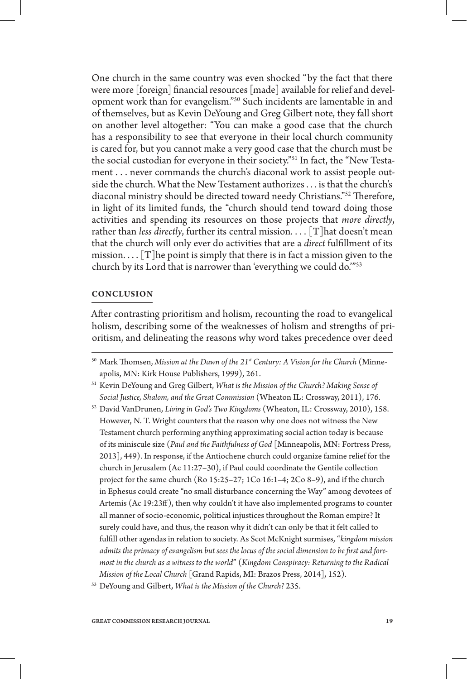One church in the same country was even shocked "by the fact that there were more [foreign] financial resources [made] available for relief and development work than for evangelism."50 Such incidents are lamentable in and of themselves, but as Kevin DeYoung and Greg Gilbert note, they fall short on another level altogether: "You can make a good case that the church has a responsibility to see that everyone in their local church community is cared for, but you cannot make a very good case that the church must be the social custodian for everyone in their society."51 In fact, the "New Testament . . . never commands the church's diaconal work to assist people outside the church. What the New Testament authorizes . . . is that the church's diaconal ministry should be directed toward needy Christians."52 Therefore, in light of its limited funds, the "church should tend toward doing those activities and spending its resources on those projects that *more directly*, rather than *less directly*, further its central mission. . . . [T] hat doesn't mean that the church will only ever do activities that are a *direct* fulfillment of its mission.  $\ldots$  [T] he point is simply that there is in fact a mission given to the church by its Lord that is narrower than 'everything we could do.'"53

# **Conclusion**

After contrasting prioritism and holism, recounting the road to evangelical holism, describing some of the weaknesses of holism and strengths of prioritism, and delineating the reasons why word takes precedence over deed

<sup>50</sup> Mark Thomsen, *Mission at the Dawn of the 21st Century: A Vision for the Church* (Minneapolis, MN: Kirk House Publishers, 1999), 261.

<sup>51</sup> Kevin DeYoung and Greg Gilbert, *What is the Mission of the Church? Making Sense of Social Justice, Shalom, and the Great Commission* (Wheaton IL: Crossway, 2011), 176.

<sup>52</sup> David VanDrunen, *Living in God's Two Kingdoms* (Wheaton, IL: Crossway, 2010), 158. However, N. T. Wright counters that the reason why one does not witness the New Testament church performing anything approximating social action today is because of its miniscule size (*Paul and the Faithfulness of God* [Minneapolis, MN: Fortress Press, 2013], 449). In response, if the Antiochene church could organize famine relief for the church in Jerusalem (Ac 11:27–30), if Paul could coordinate the Gentile collection project for the same church (Ro 15:25–27; 1Co 16:1–4; 2Co 8–9), and if the church in Ephesus could create "no small disturbance concerning the Way" among devotees of Artemis (Ac 19:23ff), then why couldn't it have also implemented programs to counter all manner of socio-economic, political injustices throughout the Roman empire? It surely could have, and thus, the reason why it didn't can only be that it felt called to fulfill other agendas in relation to society. As Scot McKnight surmises, "*kingdom mission admits the primacy of evangelism but sees the locus of the social dimension to be first and foremost in the church as a witness to the world*" (*Kingdom Conspiracy: Returning to the Radical Mission of the Local Church* [Grand Rapids, MI: Brazos Press, 2014], 152).

<sup>53</sup> DeYoung and Gilbert, *What is the Mission of the Church?* 235.